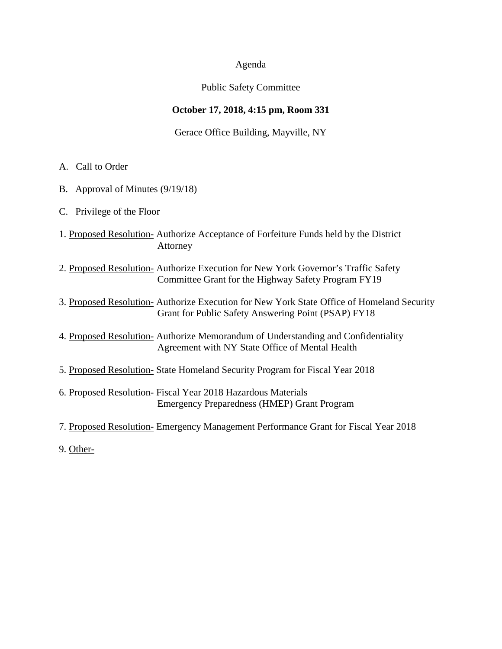## Agenda

## Public Safety Committee

# **October 17, 2018, 4:15 pm, Room 331**

Gerace Office Building, Mayville, NY

- A. Call to Order
- B. Approval of Minutes (9/19/18)
- C. Privilege of the Floor
- 1. Proposed Resolution- Authorize Acceptance of Forfeiture Funds held by the District Attorney
- 2. Proposed Resolution- Authorize Execution for New York Governor's Traffic Safety Committee Grant for the Highway Safety Program FY19
- 3. Proposed Resolution- Authorize Execution for New York State Office of Homeland Security Grant for Public Safety Answering Point (PSAP) FY18
- 4. Proposed Resolution- Authorize Memorandum of Understanding and Confidentiality Agreement with NY State Office of Mental Health
- 5. Proposed Resolution- State Homeland Security Program for Fiscal Year 2018
- 6. Proposed Resolution- Fiscal Year 2018 Hazardous Materials Emergency Preparedness (HMEP) Grant Program
- 7. Proposed Resolution- Emergency Management Performance Grant for Fiscal Year 2018
- 9. Other-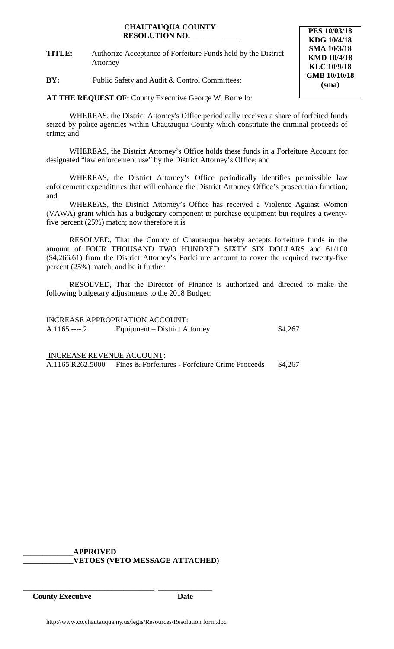### **CHAUTAUQUA COUNTY RESOLUTION NO.\_\_\_\_\_\_\_\_\_\_\_\_\_**

**TITLE:** Authorize Acceptance of Forfeiture Funds held by the District Attorney

**BY:** Public Safety and Audit & Control Committees:

**AT THE REQUEST OF:** County Executive George W. Borrello:

WHEREAS, the District Attorney's Office periodically receives a share of forfeited funds seized by police agencies within Chautauqua County which constitute the criminal proceeds of crime; and

WHEREAS, the District Attorney's Office holds these funds in a Forfeiture Account for designated "law enforcement use" by the District Attorney's Office; and

WHEREAS, the District Attorney's Office periodically identifies permissible law enforcement expenditures that will enhance the District Attorney Office's prosecution function; and

WHEREAS, the District Attorney's Office has received a Violence Against Women (VAWA) grant which has a budgetary component to purchase equipment but requires a twentyfive percent (25%) match; now therefore it is

RESOLVED, That the County of Chautauqua hereby accepts forfeiture funds in the amount of FOUR THOUSAND TWO HUNDRED SIXTY SIX DOLLARS and 61/100 (\$4,266.61) from the District Attorney's Forfeiture account to cover the required twenty-five percent (25%) match; and be it further

RESOLVED, That the Director of Finance is authorized and directed to make the following budgetary adjustments to the 2018 Budget:

INCREASE APPROPRIATION ACCOUNT: A.1165.----.2 Equipment – District Attorney \$4,267

INCREASE REVENUE ACCOUNT: A.1165.R262.5000 Fines & Forfeitures - Forfeiture Crime Proceeds \$4,267

**\_\_\_\_\_\_\_\_\_\_\_\_\_APPROVED \_\_\_\_\_\_\_\_\_\_\_\_\_VETOES (VETO MESSAGE ATTACHED)**

\_\_\_\_\_\_\_\_\_\_\_\_\_\_\_\_\_\_\_\_\_\_\_\_\_\_\_\_\_\_\_\_\_\_ \_\_\_\_\_\_\_\_\_\_\_\_\_\_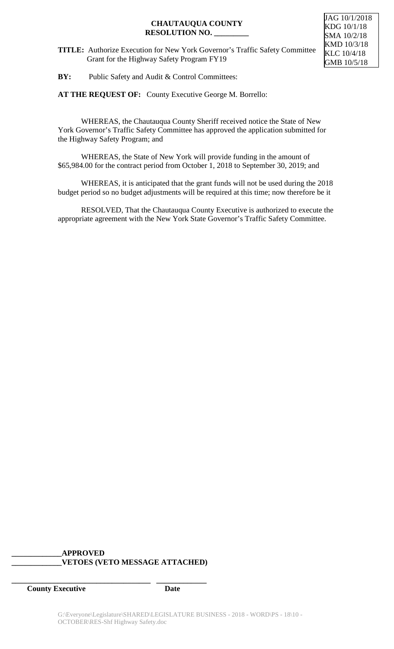## **CHAUTAUQUA COUNTY RESOLUTION NO. \_\_\_\_\_\_\_\_\_**

JAG 10/1/2018 KDG 10/1/18 SMA 10/2/18 KMD 10/3/18 KLC 10/4/18 GMB 10/5/18

**BY:** Public Safety and Audit & Control Committees:

**AT THE REQUEST OF:** County Executive George M. Borrello:

WHEREAS, the Chautauqua County Sheriff received notice the State of New York Governor's Traffic Safety Committee has approved the application submitted for the Highway Safety Program; and

WHEREAS, the State of New York will provide funding in the amount of \$65,984.00 for the contract period from October 1, 2018 to September 30, 2019; and

WHEREAS, it is anticipated that the grant funds will not be used during the 2018 budget period so no budget adjustments will be required at this time; now therefore be it

RESOLVED, That the Chautauqua County Executive is authorized to execute the appropriate agreement with the New York State Governor's Traffic Safety Committee.

# **\_\_\_\_\_\_\_\_\_\_\_\_\_APPROVED \_\_\_\_\_\_\_\_\_\_\_\_\_VETOES (VETO MESSAGE ATTACHED)**

**\_\_\_\_\_\_\_\_\_\_\_\_\_\_\_\_\_\_\_\_\_\_\_\_\_\_\_\_\_\_\_\_\_\_\_\_ \_\_\_\_\_\_\_\_\_\_\_\_\_**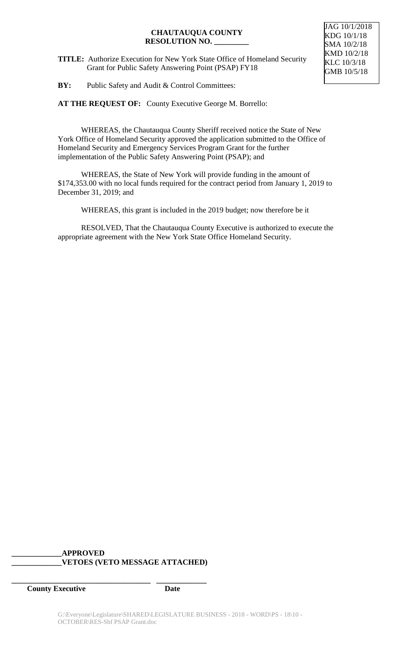### **CHAUTAUQUA COUNTY RESOLUTION NO. \_\_\_\_\_\_\_\_\_**

**TITLE:** Authorize Execution for New York State Office of Homeland Security Grant for Public Safety Answering Point (PSAP) FY18

**BY:** Public Safety and Audit & Control Committees:

AT THE REQUEST OF: County Executive George M. Borrello:

WHEREAS, the Chautauqua County Sheriff received notice the State of New York Office of Homeland Security approved the application submitted to the Office of Homeland Security and Emergency Services Program Grant for the further implementation of the Public Safety Answering Point (PSAP); and

WHEREAS, the State of New York will provide funding in the amount of \$174,353.00 with no local funds required for the contract period from January 1, 2019 to December 31, 2019; and

WHEREAS, this grant is included in the 2019 budget; now therefore be it

RESOLVED, That the Chautauqua County Executive is authorized to execute the appropriate agreement with the New York State Office Homeland Security.

# **\_\_\_\_\_\_\_\_\_\_\_\_\_APPROVED \_\_\_\_\_\_\_\_\_\_\_\_\_VETOES (VETO MESSAGE ATTACHED)**

**\_\_\_\_\_\_\_\_\_\_\_\_\_\_\_\_\_\_\_\_\_\_\_\_\_\_\_\_\_\_\_\_\_\_\_\_ \_\_\_\_\_\_\_\_\_\_\_\_\_**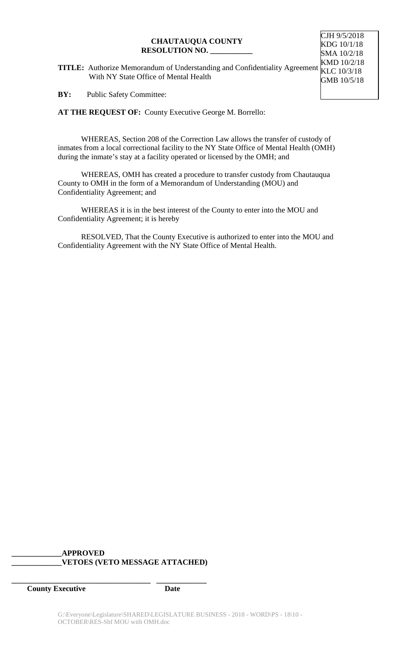#### **CHAUTAUQUA COUNTY RESOLUTION NO. \_\_\_\_\_\_\_\_\_\_\_**

**TITLE:** Authorize Memorandum of Understanding and Confidentiality Agreement With NY State Office of Mental Health KMD 10/2/18 KLC 10/3/18 GMB 10/5/18

CJH 9/5/2018 KDG 10/1/18 SMA 10/2/18

**BY:** Public Safety Committee:

**AT THE REQUEST OF:** County Executive George M. Borrello:

WHEREAS, Section 208 of the Correction Law allows the transfer of custody of inmates from a local correctional facility to the NY State Office of Mental Health (OMH) during the inmate's stay at a facility operated or licensed by the OMH; and

WHEREAS, OMH has created a procedure to transfer custody from Chautauqua County to OMH in the form of a Memorandum of Understanding (MOU) and Confidentiality Agreement; and

WHEREAS it is in the best interest of the County to enter into the MOU and Confidentiality Agreement; it is hereby

RESOLVED, That the County Executive is authorized to enter into the MOU and Confidentiality Agreement with the NY State Office of Mental Health.

# **\_\_\_\_\_\_\_\_\_\_\_\_\_APPROVED \_\_\_\_\_\_\_\_\_\_\_\_\_VETOES (VETO MESSAGE ATTACHED)**

**\_\_\_\_\_\_\_\_\_\_\_\_\_\_\_\_\_\_\_\_\_\_\_\_\_\_\_\_\_\_\_\_\_\_\_\_ \_\_\_\_\_\_\_\_\_\_\_\_\_**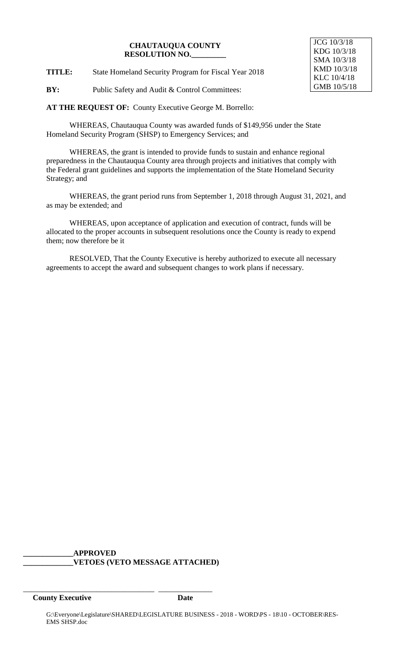#### **CHAUTAUQUA COUNTY RESOLUTION NO.\_\_\_\_\_\_\_\_\_**

JCG 10/3/18 KDG 10/3/18 SMA 10/3/18 KMD 10/3/18 KLC 10/4/18 GMB 10/5/18

**TITLE:** State Homeland Security Program for Fiscal Year 2018

**BY:** Public Safety and Audit & Control Committees:

**AT THE REQUEST OF:** County Executive George M. Borrello:

WHEREAS, Chautauqua County was awarded funds of \$149,956 under the State Homeland Security Program (SHSP) to Emergency Services; and

WHEREAS, the grant is intended to provide funds to sustain and enhance regional preparedness in the Chautauqua County area through projects and initiatives that comply with the Federal grant guidelines and supports the implementation of the State Homeland Security Strategy; and

WHEREAS, the grant period runs from September 1, 2018 through August 31, 2021, and as may be extended; and

WHEREAS, upon acceptance of application and execution of contract, funds will be allocated to the proper accounts in subsequent resolutions once the County is ready to expend them; now therefore be it

RESOLVED, That the County Executive is hereby authorized to execute all necessary agreements to accept the award and subsequent changes to work plans if necessary.

### **\_\_\_\_\_\_\_\_\_\_\_\_\_APPROVED \_\_\_\_\_\_\_\_\_\_\_\_\_VETOES (VETO MESSAGE ATTACHED)**

\_\_\_\_\_\_\_\_\_\_\_\_\_\_\_\_\_\_\_\_\_\_\_\_\_\_\_\_\_\_\_\_\_\_ \_\_\_\_\_\_\_\_\_\_\_\_\_\_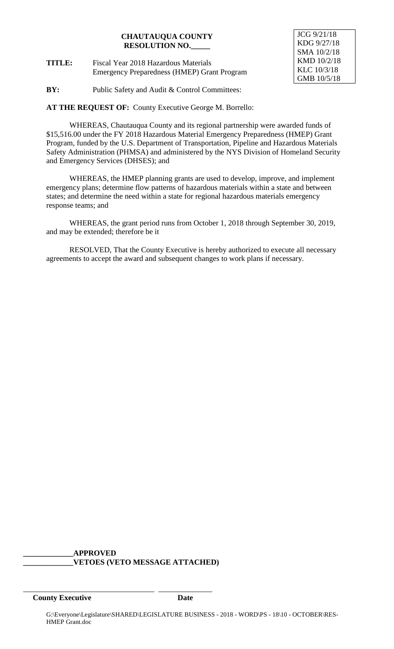# **CHAUTAUQUA COUNTY RESOLUTION NO.\_\_\_\_\_**

**TITLE:** Fiscal Year 2018 Hazardous Materials Emergency Preparedness (HMEP) Grant Program JCG 9/21/18 KDG 9/27/18 SMA 10/2/18 KMD 10/2/18 KLC 10/3/18 GMB 10/5/18

**BY:** Public Safety and Audit & Control Committees:

**AT THE REQUEST OF:** County Executive George M. Borrello:

WHEREAS, Chautauqua County and its regional partnership were awarded funds of \$15,516.00 under the FY 2018 Hazardous Material Emergency Preparedness (HMEP) Grant Program, funded by the U.S. Department of Transportation, Pipeline and Hazardous Materials Safety Administration (PHMSA) and administered by the NYS Division of Homeland Security and Emergency Services (DHSES); and

WHEREAS, the HMEP planning grants are used to develop, improve, and implement emergency plans; determine flow patterns of hazardous materials within a state and between states; and determine the need within a state for regional hazardous materials emergency response teams; and

WHEREAS, the grant period runs from October 1, 2018 through September 30, 2019, and may be extended; therefore be it

RESOLVED, That the County Executive is hereby authorized to execute all necessary agreements to accept the award and subsequent changes to work plans if necessary.

### **\_\_\_\_\_\_\_\_\_\_\_\_\_APPROVED \_\_\_\_\_\_\_\_\_\_\_\_\_VETOES (VETO MESSAGE ATTACHED)**

\_\_\_\_\_\_\_\_\_\_\_\_\_\_\_\_\_\_\_\_\_\_\_\_\_\_\_\_\_\_\_\_\_\_ \_\_\_\_\_\_\_\_\_\_\_\_\_\_ **County Executive Date**